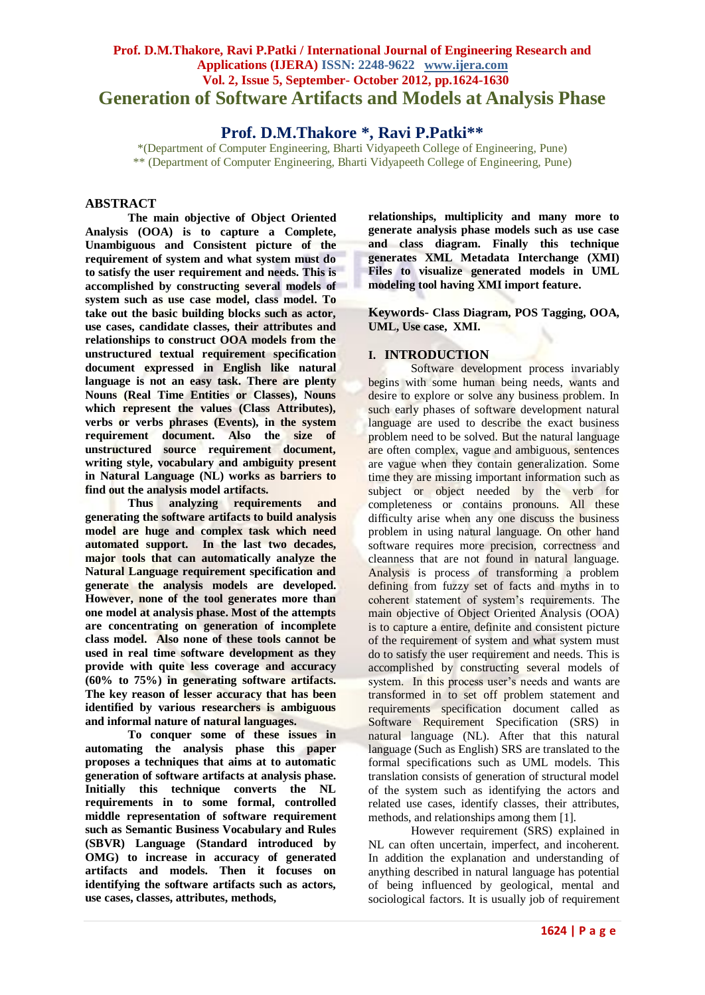# **Prof. D.M.Thakore, Ravi P.Patki / International Journal of Engineering Research and Applications (IJERA) ISSN: 2248-9622 www.ijera.com Vol. 2, Issue 5, September- October 2012, pp.1624-1630 Generation of Software Artifacts and Models at Analysis Phase**

# **Prof. D.M.Thakore \*, Ravi P.Patki\*\***

\*(Department of Computer Engineering, Bharti Vidyapeeth College of Engineering, Pune) \*\* (Department of Computer Engineering, Bharti Vidyapeeth College of Engineering, Pune)

# **ABSTRACT**

**The main objective of Object Oriented Analysis (OOA) is to capture a Complete, Unambiguous and Consistent picture of the requirement of system and what system must do to satisfy the user requirement and needs. This is accomplished by constructing several models of system such as use case model, class model. To take out the basic building blocks such as actor, use cases, candidate classes, their attributes and relationships to construct OOA models from the unstructured textual requirement specification document expressed in English like natural language is not an easy task. There are plenty Nouns (Real Time Entities or Classes), Nouns which represent the values (Class Attributes), verbs or verbs phrases (Events), in the system requirement document. Also the size of unstructured source requirement document, writing style, vocabulary and ambiguity present in Natural Language (NL) works as barriers to find out the analysis model artifacts.** 

**Thus analyzing requirements and generating the software artifacts to build analysis model are huge and complex task which need automated support. In the last two decades, major tools that can automatically analyze the Natural Language requirement specification and generate the analysis models are developed. However, none of the tool generates more than one model at analysis phase. Most of the attempts are concentrating on generation of incomplete class model. Also none of these tools cannot be used in real time software development as they provide with quite less coverage and accuracy (60% to 75%) in generating software artifacts. The key reason of lesser accuracy that has been identified by various researchers is ambiguous and informal nature of natural languages.** 

**To conquer some of these issues in automating the analysis phase this paper proposes a techniques that aims at to automatic generation of software artifacts at analysis phase. Initially this technique converts the NL requirements in to some formal, controlled middle representation of software requirement such as Semantic Business Vocabulary and Rules (SBVR) Language (Standard introduced by OMG) to increase in accuracy of generated artifacts and models. Then it focuses on identifying the software artifacts such as actors, use cases, classes, attributes, methods,** 

**relationships, multiplicity and many more to generate analysis phase models such as use case and class diagram. Finally this technique generates XML Metadata Interchange (XMI) Files to visualize generated models in UML modeling tool having XMI import feature.** 

**Keywords- Class Diagram, POS Tagging, OOA, UML, Use case, XMI.** 

### **I. INTRODUCTION**

Software development process invariably begins with some human being needs, wants and desire to explore or solve any business problem. In such early phases of software development natural language are used to describe the exact business problem need to be solved. But the natural language are often complex, vague and ambiguous, sentences are vague when they contain generalization. Some time they are missing important information such as subject or object needed by the verb for completeness or contains pronouns. All these difficulty arise when any one discuss the business problem in using natural language. On other hand software requires more precision, correctness and cleanness that are not found in natural language. Analysis is process of transforming a problem defining from fuzzy set of facts and myths in to coherent statement of system"s requirements. The main objective of Object Oriented Analysis (OOA) is to capture a entire, definite and consistent picture of the requirement of system and what system must do to satisfy the user requirement and needs. This is accomplished by constructing several models of system. In this process user's needs and wants are transformed in to set off problem statement and requirements specification document called as Software Requirement Specification (SRS) in natural language (NL). After that this natural language (Such as English) SRS are translated to the formal specifications such as UML models. This translation consists of generation of structural model of the system such as identifying the actors and related use cases, identify classes, their attributes, methods, and relationships among them [1].

However requirement (SRS) explained in NL can often uncertain, imperfect, and incoherent. In addition the explanation and understanding of anything described in natural language has potential of being influenced by geological, mental and sociological factors. It is usually job of requirement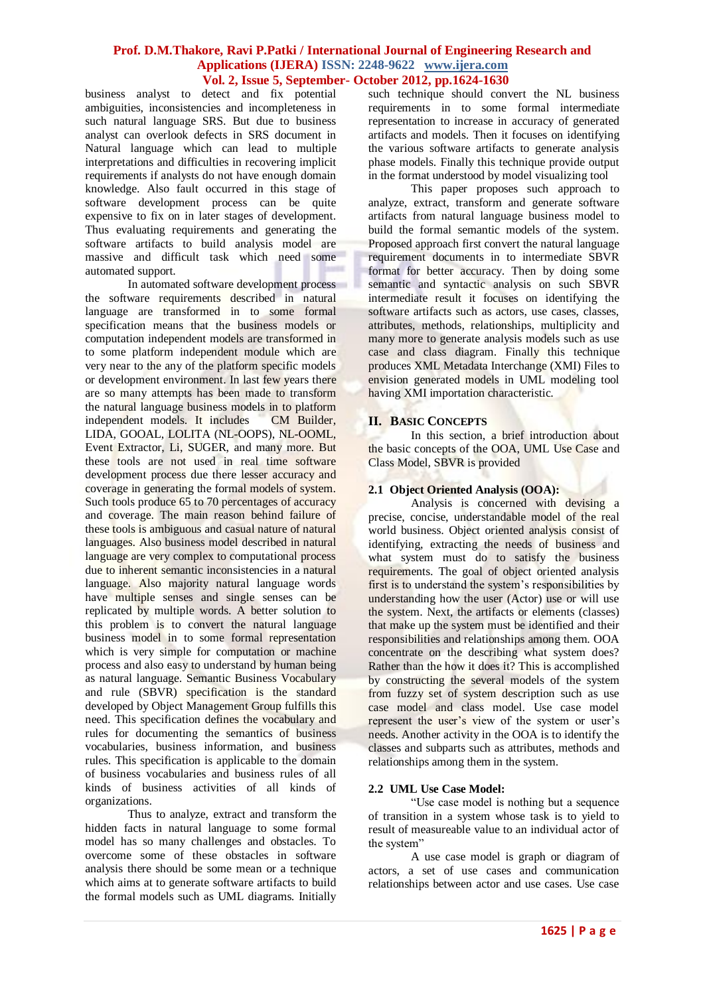business analyst to detect and fix potential ambiguities, inconsistencies and incompleteness in such natural language SRS. But due to business analyst can overlook defects in SRS document in Natural language which can lead to multiple interpretations and difficulties in recovering implicit requirements if analysts do not have enough domain knowledge. Also fault occurred in this stage of software development process can be quite expensive to fix on in later stages of development. Thus evaluating requirements and generating the software artifacts to build analysis model are massive and difficult task which need some automated support.

In automated software development process the software requirements described in natural language are transformed in to some formal specification means that the business models or computation independent models are transformed in to some platform independent module which are very near to the any of the platform specific models or development environment. In last few years there are so many attempts has been made to transform the natural language business models in to platform independent models. It includes CM Builder, LIDA, GOOAL, LOLITA (NL-OOPS), NL-OOML, Event Extractor, Li, SUGER, and many more. But these tools are not used in real time software development process due there lesser accuracy and coverage in generating the formal models of system. Such tools produce 65 to 70 percentages of accuracy and coverage. The main reason behind failure of these tools is ambiguous and casual nature of natural languages. Also business model described in natural language are very complex to computational process due to inherent semantic inconsistencies in a natural language. Also majority natural language words have multiple senses and single senses can be replicated by multiple words. A better solution to this problem is to convert the natural language business model in to some formal representation which is very simple for computation or machine process and also easy to understand by human being as natural language. Semantic Business Vocabulary and rule (SBVR) specification is the standard developed by Object Management Group fulfills this need. This specification defines the vocabulary and rules for documenting the semantics of business vocabularies, business information, and business rules. This specification is applicable to the domain of business vocabularies and business rules of all kinds of business activities of all kinds of organizations.

Thus to analyze, extract and transform the hidden facts in natural language to some formal model has so many challenges and obstacles. To overcome some of these obstacles in software analysis there should be some mean or a technique which aims at to generate software artifacts to build the formal models such as UML diagrams. Initially

such technique should convert the NL business requirements in to some formal intermediate representation to increase in accuracy of generated artifacts and models. Then it focuses on identifying the various software artifacts to generate analysis phase models. Finally this technique provide output in the format understood by model visualizing tool

This paper proposes such approach to analyze, extract, transform and generate software artifacts from natural language business model to build the formal semantic models of the system. Proposed approach first convert the natural language requirement documents in to intermediate SBVR format for better accuracy. Then by doing some semantic and syntactic analysis on such SBVR intermediate result it focuses on identifying the software artifacts such as actors, use cases, classes, attributes, methods, relationships, multiplicity and many more to generate analysis models such as use case and class diagram. Finally this technique produces XML Metadata Interchange (XMI) Files to envision generated models in UML modeling tool having XMI importation characteristic.

# **II. BASIC CONCEPTS**

In this section, a brief introduction about the basic concepts of the OOA, UML Use Case and Class Model, SBVR is provided

#### **2.1 Object Oriented Analysis (OOA):**

Analysis is concerned with devising a precise, concise, understandable model of the real world business. Object oriented analysis consist of identifying, extracting the needs of business and what system must do to satisfy the business requirements. The goal of object oriented analysis first is to understand the system"s responsibilities by understanding how the user (Actor) use or will use the system. Next, the artifacts or elements (classes) that make up the system must be identified and their responsibilities and relationships among them. OOA concentrate on the describing what system does? Rather than the how it does it? This is accomplished by constructing the several models of the system from fuzzy set of system description such as use case model and class model. Use case model represent the user's view of the system or user's needs. Another activity in the OOA is to identify the classes and subparts such as attributes, methods and relationships among them in the system.

#### **2.2 UML Use Case Model:**

"Use case model is nothing but a sequence of transition in a system whose task is to yield to result of measureable value to an individual actor of the system"

A use case model is graph or diagram of actors, a set of use cases and communication relationships between actor and use cases. Use case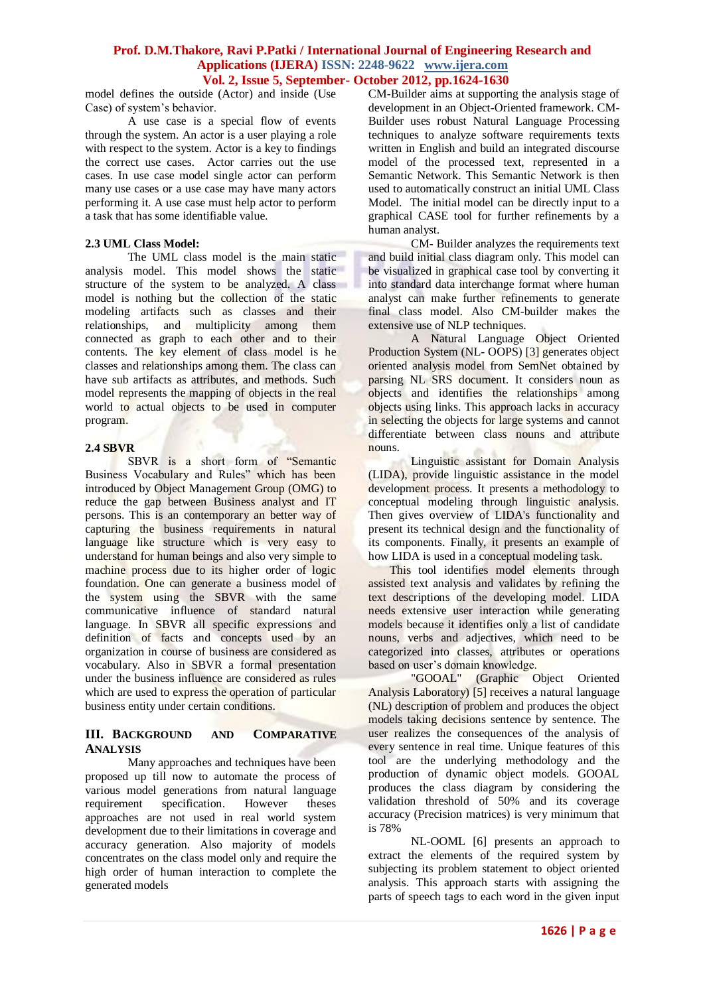model defines the outside (Actor) and inside (Use Case) of system"s behavior.

A use case is a special flow of events through the system. An actor is a user playing a role with respect to the system. Actor is a key to findings the correct use cases. Actor carries out the use cases. In use case model single actor can perform many use cases or a use case may have many actors performing it. A use case must help actor to perform a task that has some identifiable value.

# **2.3 UML Class Model:**

The UML class model is the main static analysis model. This model shows the static structure of the system to be analyzed. A class model is nothing but the collection of the static modeling artifacts such as classes and their relationships, and multiplicity among them connected as graph to each other and to their contents. The key element of class model is he classes and relationships among them. The class can have sub artifacts as attributes, and methods. Such model represents the mapping of objects in the real world to actual objects to be used in computer program.

### **2.4 SBVR**

SBVR is a short form of "Semantic Business Vocabulary and Rules" which has been introduced by Object Management Group (OMG) to reduce the gap between Business analyst and IT persons. This is an contemporary an better way of capturing the business requirements in natural language like structure which is very easy to understand for human beings and also very simple to machine process due to its higher order of logic foundation. One can generate a business model of the system using the SBVR with the same communicative influence of standard natural language. In SBVR all specific expressions and definition of facts and concepts used by an organization in course of business are considered as vocabulary. Also in SBVR a formal presentation under the business influence are considered as rules which are used to express the operation of particular business entity under certain conditions.

## **III. BACKGROUND AND COMPARATIVE ANALYSIS**

Many approaches and techniques have been proposed up till now to automate the process of various model generations from natural language requirement specification. However theses approaches are not used in real world system development due to their limitations in coverage and accuracy generation. Also majority of models concentrates on the class model only and require the high order of human interaction to complete the generated models

CM-Builder aims at supporting the analysis stage of development in an Object-Oriented framework. CM-Builder uses robust Natural Language Processing techniques to analyze software requirements texts written in English and build an integrated discourse model of the processed text, represented in a Semantic Network. This Semantic Network is then used to automatically construct an initial UML Class Model. The initial model can be directly input to a graphical CASE tool for further refinements by a human analyst.

CM- Builder analyzes the requirements text and build initial class diagram only. This model can be visualized in graphical case tool by converting it into standard data interchange format where human analyst can make further refinements to generate final class model. Also CM-builder makes the extensive use of NLP techniques.

A Natural Language Object Oriented Production System (NL- OOPS) [3] generates object oriented analysis model from SemNet obtained by parsing NL SRS document. It considers noun as objects and identifies the relationships among objects using links. This approach lacks in accuracy in selecting the objects for large systems and cannot differentiate between class nouns and attribute nouns.

Linguistic assistant for Domain Analysis (LIDA), provide linguistic assistance in the model development process. It presents a methodology to conceptual modeling through linguistic analysis. Then gives overview of LIDA's functionality and present its technical design and the functionality of its components. Finally, it presents an example of how LIDA is used in a conceptual modeling task.

This tool identifies model elements through assisted text analysis and validates by refining the text descriptions of the developing model. LIDA needs extensive user interaction while generating models because it identifies only a list of candidate nouns, verbs and adjectives, which need to be categorized into classes, attributes or operations based on user's domain knowledge.<br>"GOOAL" (Graphic C

(Graphic Object Oriented Analysis Laboratory) [5] receives a natural language (NL) description of problem and produces the object models taking decisions sentence by sentence. The user realizes the consequences of the analysis of every sentence in real time. Unique features of this tool are the underlying methodology and the production of dynamic object models. GOOAL produces the class diagram by considering the validation threshold of 50% and its coverage accuracy (Precision matrices) is very minimum that is 78%

NL-OOML [6] presents an approach to extract the elements of the required system by subjecting its problem statement to object oriented analysis. This approach starts with assigning the parts of speech tags to each word in the given input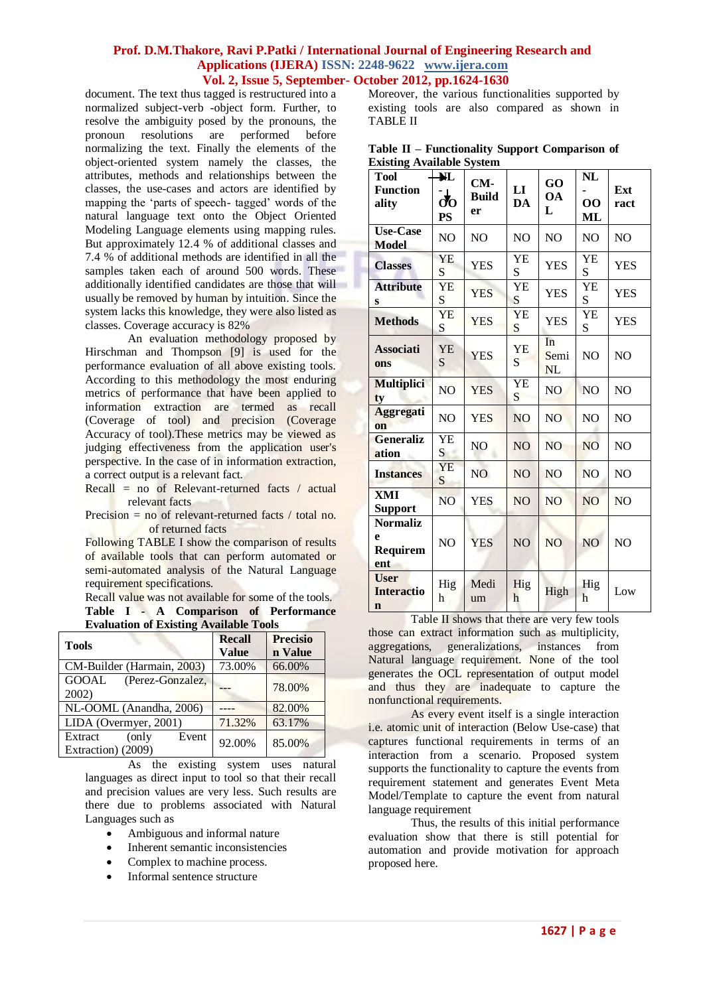document. The text thus tagged is restructured into a normalized subject-verb -object form. Further, to resolve the ambiguity posed by the pronouns, the pronoun resolutions are performed before normalizing the text. Finally the elements of the object-oriented system namely the classes, the attributes, methods and relationships between the classes, the use-cases and actors are identified by mapping the "parts of speech- tagged" words of the natural language text onto the Object Oriented Modeling Language elements using mapping rules. But approximately 12.4 % of additional classes and 7.4 % of additional methods are identified in all the samples taken each of around 500 words. These additionally identified candidates are those that will usually be removed by human by intuition. Since the system lacks this knowledge, they were also listed as classes. Coverage accuracy is 82%

An evaluation methodology proposed by Hirschman and Thompson [9] is used for the performance evaluation of all above existing tools. According to this methodology the most enduring metrics of performance that have been applied to information extraction are termed as recall (Coverage of tool) and precision (Coverage Accuracy of tool).These metrics may be viewed as judging effectiveness from the application user's perspective. In the case of in information extraction, a correct output is a relevant fact.

Recall  $=$  no of Relevant-returned facts / actual relevant facts

Precision  $=$  no of relevant-returned facts / total no. of returned facts

Following TABLE I show the comparison of results of available tools that can perform automated or semi-automated analysis of the Natural Language requirement specifications.

Recall value was not available for some of the tools. **Table I - A Comparison of Performance Evaluation of Existing Available Tools** 

| <b>Tools</b>                                     | <b>Recall</b><br><b>Value</b> | <b>Precisio</b><br>n Value |
|--------------------------------------------------|-------------------------------|----------------------------|
| CM-Builder (Harmain, 2003)                       | 73.00%                        | 66.00%                     |
| GOOAL<br>(Perez-Gonzalez,<br>2002)               |                               | 78.00%                     |
| NL-OOML (Anandha, 2006)                          |                               | 82.00%                     |
| LIDA (Overmyer, 2001)                            | 71.32%                        | 63.17%                     |
| Extract<br>Event<br>(only)<br>Extraction) (2009) | 92.00%                        | 85.00%                     |

As the existing system uses natural languages as direct input to tool so that their recall and precision values are very less. Such results are there due to problems associated with Natural Languages such as

- Ambiguous and informal nature
- Inherent semantic inconsistencies
- Complex to machine process.
- Informal sentence structure

Moreover, the various functionalities supported by existing tools are also compared as shown in TABLE II

| Table II – Functionality Support Comparison of |  |  |
|------------------------------------------------|--|--|
| <b>Existing Available System</b>               |  |  |

| ельние дуанали бузинг                           |                                |                    |                        |                  |                    |                |
|-------------------------------------------------|--------------------------------|--------------------|------------------------|------------------|--------------------|----------------|
| <b>Tool</b><br><b>Function</b>                  | $\mathbf{H}$                   | CM-                | $\mathbf{L}\mathbf{I}$ | GO               | NL                 | Ext            |
| ality                                           | - 1<br>$\delta$ o<br><b>PS</b> | <b>Build</b><br>er | DA                     | <b>OA</b><br>L   | 00<br>ML           | ract           |
| <b>Use-Case</b><br><b>Model</b>                 | NO                             | N <sub>O</sub>     | N <sub>O</sub>         | NO               | N <sub>O</sub>     | N <sub>O</sub> |
| <b>Classes</b>                                  | YE<br>S                        | <b>YES</b>         | <b>YE</b><br>S         | <b>YES</b>       | <b>YE</b><br>S     | <b>YES</b>     |
| <b>Attribute</b><br>S                           | YE<br>S                        | <b>YES</b>         | <b>YE</b><br>S         | <b>YES</b>       | <b>YE</b><br>S     | <b>YES</b>     |
| <b>Methods</b>                                  | YE<br>S                        | <b>YES</b>         | YE<br>S                | <b>YES</b>       | YE<br>S            | <b>YES</b>     |
| <b>Associati</b><br>ons                         | <b>YE</b><br>S                 | <b>YES</b>         | <b>YE</b><br>S         | In<br>Semi<br>NL | NO                 | NO             |
| <b>Multiplici</b><br>ty                         | N <sub>O</sub>                 | <b>YES</b>         | <b>YE</b><br>S         | N <sub>O</sub>   | N <sub>O</sub>     | N <sub>O</sub> |
| <b>Aggregati</b><br>on                          | NO                             | <b>YES</b>         | NO <sub>1</sub>        | N <sub>O</sub>   | NO                 | N <sub>O</sub> |
| <b>Generaliz</b><br>ation                       | YE<br>S                        | N <sub>O</sub>     | NO <sub>1</sub>        | NO <sub></sub>   | NO <sub>1</sub>    | NO             |
| <b>Instances</b>                                | YE<br>S                        | NO                 | NO <sub>1</sub>        | N <sub>O</sub>   | N <sub>O</sub>     | N <sub>O</sub> |
| <b>XMI</b><br><b>Support</b>                    | N <sub>O</sub>                 | <b>YES</b>         | N <sub>O</sub>         | N <sub>O</sub>   | N <sub>O</sub>     | N <sub>O</sub> |
| <b>Normaliz</b><br>e<br>Requirem<br>ent         | NO                             | <b>YES</b>         | NO <sub>1</sub>        | N <sub>O</sub>   | NO <sub>1</sub>    | NO             |
| <b>User</b><br><b>Interactio</b><br>$\mathbf n$ | Hig<br>h                       | Medi<br>um         | Hig<br>$\mathbf h$     | High             | Hig<br>$\mathbf h$ | Low            |

Table II shows that there are very few tools those can extract information such as multiplicity, aggregations, generalizations, instances from Natural language requirement. None of the tool generates the OCL representation of output model and thus they are inadequate to capture the nonfunctional requirements.

As every event itself is a single interaction i.e. atomic unit of interaction (Below Use-case) that captures functional requirements in terms of an interaction from a scenario. Proposed system supports the functionality to capture the events from requirement statement and generates Event Meta Model/Template to capture the event from natural language requirement

Thus, the results of this initial performance evaluation show that there is still potential for automation and provide motivation for approach proposed here.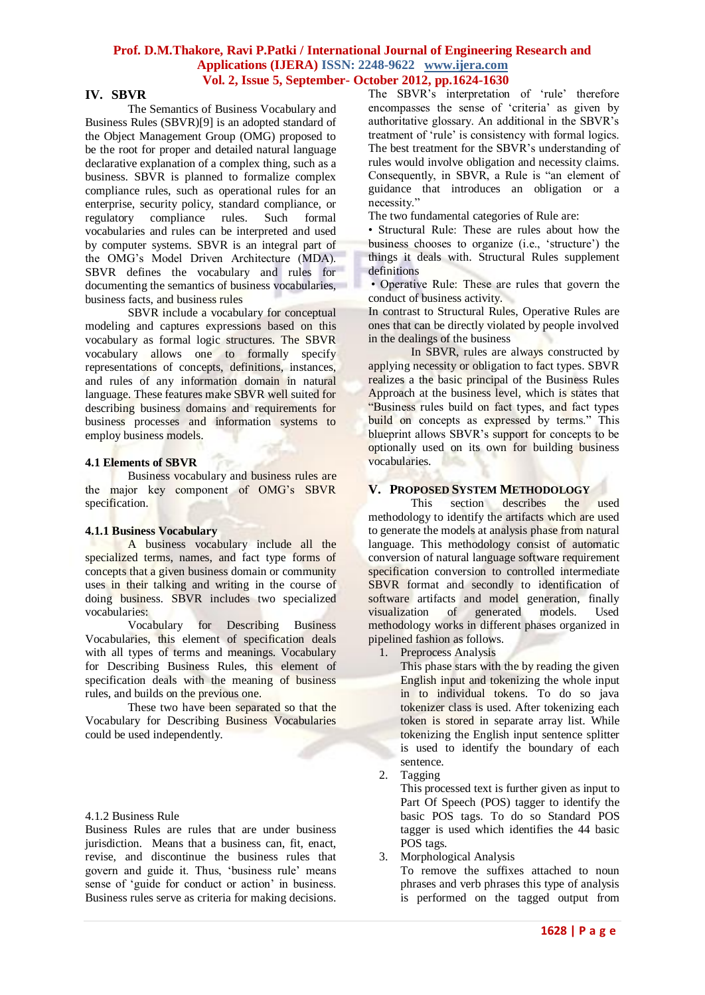#### **IV. SBVR**

The Semantics of Business Vocabulary and Business Rules (SBVR)[9] is an adopted standard of the Object Management Group (OMG) proposed to be the root for proper and detailed natural language declarative explanation of a complex thing, such as a business. SBVR is planned to formalize complex compliance rules, such as operational rules for an enterprise, security policy, standard compliance, or regulatory compliance rules. Such formal vocabularies and rules can be interpreted and used by computer systems. SBVR is an integral part of the OMG"s Model Driven Architecture (MDA). SBVR defines the vocabulary and rules for documenting the semantics of business vocabularies, business facts, and business rules

SBVR include a vocabulary for conceptual modeling and captures expressions based on this vocabulary as formal logic structures. The SBVR vocabulary allows one to formally specify representations of concepts, definitions, instances, and rules of any information domain in natural language. These features make SBVR well suited for describing business domains and requirements for business processes and information systems to employ business models.

#### **4.1 Elements of SBVR**

Business vocabulary and business rules are the major key component of OMG"s SBVR specification.

#### **4.1.1 Business Vocabulary**

A business vocabulary include all the specialized terms, names, and fact type forms of concepts that a given business domain or community uses in their talking and writing in the course of doing business. SBVR includes two specialized vocabularies:

Vocabulary for Describing Business Vocabularies, this element of specification deals with all types of terms and meanings. Vocabulary for Describing Business Rules, this element of specification deals with the meaning of business rules, and builds on the previous one.

These two have been separated so that the Vocabulary for Describing Business Vocabularies could be used independently.

#### 4.1.2 Business Rule

Business Rules are rules that are under business jurisdiction. Means that a business can, fit, enact, revise, and discontinue the business rules that govern and guide it. Thus, "business rule" means sense of 'guide for conduct or action' in business. Business rules serve as criteria for making decisions.

The SBVR's interpretation of 'rule' therefore encompasses the sense of "criteria" as given by authoritative glossary. An additional in the SBVR"s treatment of "rule" is consistency with formal logics. The best treatment for the SBVR's understanding of rules would involve obligation and necessity claims. Consequently, in SBVR, a Rule is "an element of guidance that introduces an obligation or a necessity."

The two fundamental categories of Rule are:

• Structural Rule: These are rules about how the business chooses to organize (i.e., 'structure') the things it deals with. Structural Rules supplement definitions

• Operative Rule: These are rules that govern the conduct of business activity.

In contrast to Structural Rules, Operative Rules are ones that can be directly violated by people involved in the dealings of the business

In SBVR, rules are always constructed by applying necessity or obligation to fact types. SBVR realizes a the basic principal of the Business Rules Approach at the business level, which is states that "Business rules build on fact types, and fact types build on concepts as expressed by terms." This blueprint allows SBVR"s support for concepts to be optionally used on its own for building business vocabularies.

# **V. PROPOSED SYSTEM METHODOLOGY**<br>This section describes the us

section describes the used methodology to identify the artifacts which are used to generate the models at analysis phase from natural language. This methodology consist of automatic conversion of natural language software requirement specification conversion to controlled intermediate SBVR format and secondly to identification of software artifacts and model generation, finally visualization of generated models. Used methodology works in different phases organized in pipelined fashion as follows.

1. Preprocess Analysis

This phase stars with the by reading the given English input and tokenizing the whole input in to individual tokens. To do so java tokenizer class is used. After tokenizing each token is stored in separate array list. While tokenizing the English input sentence splitter is used to identify the boundary of each sentence.

2. Tagging

This processed text is further given as input to Part Of Speech (POS) tagger to identify the basic POS tags. To do so Standard POS tagger is used which identifies the 44 basic POS tags.

3. Morphological Analysis

To remove the suffixes attached to noun phrases and verb phrases this type of analysis is performed on the tagged output from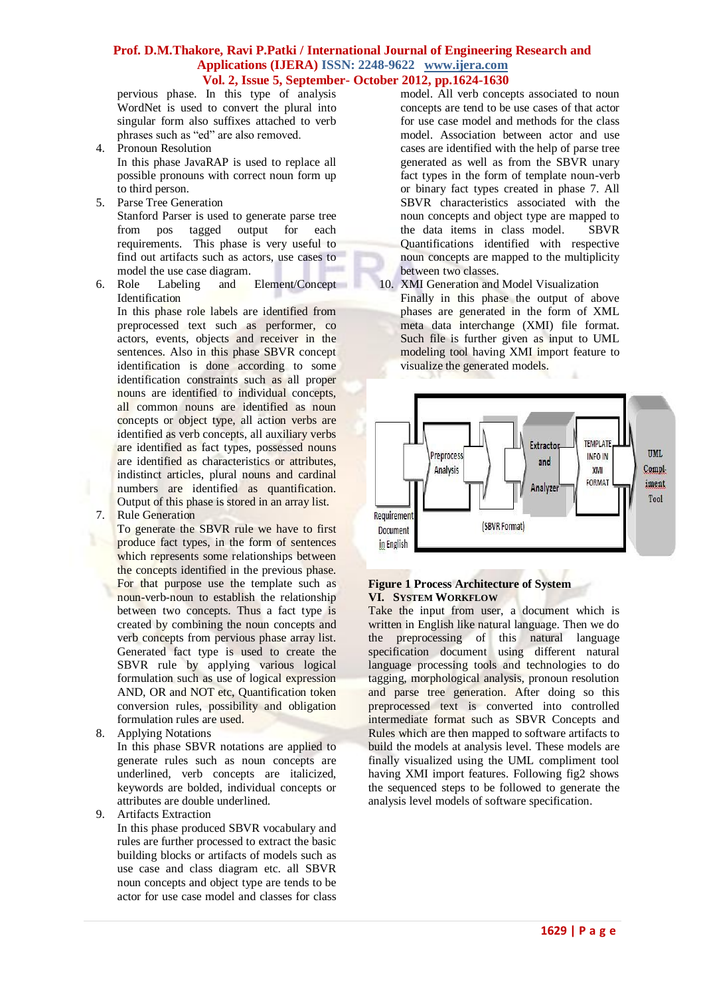pervious phase. In this type of analysis WordNet is used to convert the plural into singular form also suffixes attached to verb phrases such as "ed" are also removed.

4. Pronoun Resolution

In this phase JavaRAP is used to replace all possible pronouns with correct noun form up to third person.

5. Parse Tree Generation

Stanford Parser is used to generate parse tree from pos tagged output for each requirements. This phase is very useful to find out artifacts such as actors, use cases to model the use case diagram.<br>6 Role Labeling and

Labeling and Element/Concept Identification

In this phase role labels are identified from preprocessed text such as performer, co actors, events, objects and receiver in the sentences. Also in this phase SBVR concept identification is done according to some identification constraints such as all proper nouns are identified to individual concepts, all common nouns are identified as noun concepts or object type, all action verbs are identified as verb concepts, all auxiliary verbs are identified as fact types, possessed nouns are identified as characteristics or attributes, indistinct articles, plural nouns and cardinal numbers are identified as quantification. Output of this phase is stored in an array list.

7. Rule Generation

To generate the SBVR rule we have to first produce fact types, in the form of sentences which represents some relationships between the concepts identified in the previous phase. For that purpose use the template such as noun-verb-noun to establish the relationship between two concepts. Thus a fact type is created by combining the noun concepts and verb concepts from pervious phase array list. Generated fact type is used to create the SBVR rule by applying various logical formulation such as use of logical expression AND, OR and NOT etc, Quantification token conversion rules, possibility and obligation formulation rules are used.

8. Applying Notations

In this phase SBVR notations are applied to generate rules such as noun concepts are underlined, verb concepts are italicized, keywords are bolded, individual concepts or attributes are double underlined.

9. Artifacts Extraction

In this phase produced SBVR vocabulary and rules are further processed to extract the basic building blocks or artifacts of models such as use case and class diagram etc. all SBVR noun concepts and object type are tends to be actor for use case model and classes for class

model. All verb concepts associated to noun concepts are tend to be use cases of that actor for use case model and methods for the class model. Association between actor and use cases are identified with the help of parse tree generated as well as from the SBVR unary fact types in the form of template noun-verb or binary fact types created in phase 7. All SBVR characteristics associated with the noun concepts and object type are mapped to the data items in class model. SBVR Quantifications identified with respective noun concepts are mapped to the multiplicity between two classes.

10. XMI Generation and Model Visualization Finally in this phase the output of above phases are generated in the form of XML meta data interchange (XMI) file format. Such file is further given as input to UML modeling tool having XMI import feature to visualize the generated models.



# **Figure 1 Process Architecture of System VI. SYSTEM WORKFLOW**

Take the input from user, a document which is written in English like natural language. Then we do the preprocessing of this natural language specification document using different natural language processing tools and technologies to do tagging, morphological analysis, pronoun resolution and parse tree generation. After doing so this preprocessed text is converted into controlled intermediate format such as SBVR Concepts and Rules which are then mapped to software artifacts to build the models at analysis level. These models are finally visualized using the UML compliment tool having XMI import features. Following fig2 shows the sequenced steps to be followed to generate the analysis level models of software specification.